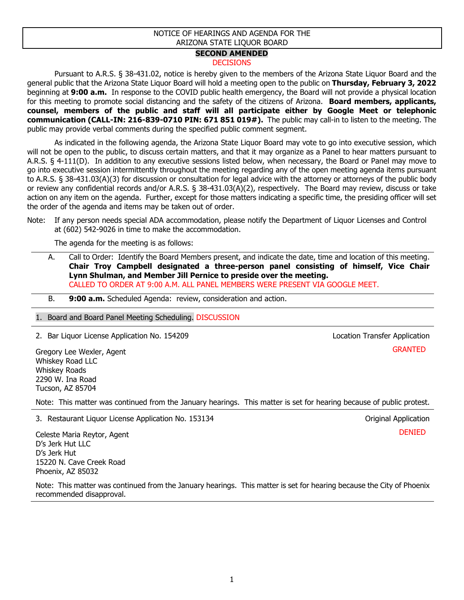## NOTICE OF HEARINGS AND AGENDA FOR THE ARIZONA STATE LIQUOR BOARD

## **SECOND AMENDED**

## **DECISIONS**

Pursuant to A.R.S. § 38-431.02, notice is hereby given to the members of the Arizona State Liquor Board and the general public that the Arizona State Liquor Board will hold a meeting open to the public on **Thursday, February 3, 2022** beginning at **9:00 a.m.** In response to the COVID public health emergency, the Board will not provide a physical location for this meeting to promote social distancing and the safety of the citizens of Arizona. **Board members, applicants, counsel, members of the public and staff will all participate either by Google Meet or telephonic communication (CALL-IN: 216-839-0710 PIN: 671 851 019#).** The public may call-in to listen to the meeting. The public may provide verbal comments during the specified public comment segment.

As indicated in the following agenda, the Arizona State Liquor Board may vote to go into executive session, which will not be open to the public, to discuss certain matters, and that it may organize as a Panel to hear matters pursuant to A.R.S. § 4-111(D). In addition to any executive sessions listed below, when necessary, the Board or Panel may move to go into executive session intermittently throughout the meeting regarding any of the open meeting agenda items pursuant to A.R.S. § 38-431.03(A)(3) for discussion or consultation for legal advice with the attorney or attorneys of the public body or review any confidential records and/or A.R.S. § 38-431.03(A)(2), respectively. The Board may review, discuss or take action on any item on the agenda. Further, except for those matters indicating a specific time, the presiding officer will set the order of the agenda and items may be taken out of order.

Note: If any person needs special ADA accommodation, please notify the Department of Liquor Licenses and Control at (602) 542-9026 in time to make the accommodation.

The agenda for the meeting is as follows:

A. Call to Order: Identify the Board Members present, and indicate the date, time and location of this meeting. **Chair Troy Campbell designated a three-person panel consisting of himself, Vice Chair Lynn Shulman, and Member Jill Pernice to preside over the meeting.** CALLED TO ORDER AT 9:00 A.M. ALL PANEL MEMBERS WERE PRESENT VIA GOOGLE MEET.

B. **9:00 a.m.** Scheduled Agenda: review, consideration and action.

1. Board and Board Panel Meeting Scheduling. DISCUSSION

2. Bar Liquor License Application No. 154209 Location Transfer Application Transfer Application

Gregory Lee Wexler, Agent Whiskey Road LLC Whiskey Roads 2290 W. Ina Road Tucson, AZ 85704

Note: This matter was continued from the January hearings. This matter is set for hearing because of public protest.

3. Restaurant Liquor License Application No. 153134 Original Application

DENIED

**GRANTED** 

Celeste Maria Reytor, Agent D's Jerk Hut LLC D's Jerk Hut 15220 N. Cave Creek Road Phoenix, AZ 85032

Note: This matter was continued from the January hearings. This matter is set for hearing because the City of Phoenix recommended disapproval.